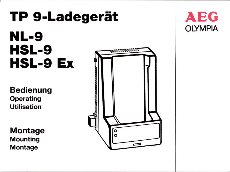# TP g-Ladegerät NL.9 HSL.9 HSL-9 Ex

Bedienung **Operating** Utilisation

Montage Mounting Montage



# AEG **OLYMPIA**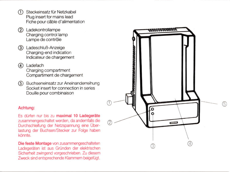- Steckeinsatz für Netzkabel Plug insert for mains lead Fiche pour câble d'alimentation
- 2 Ladekontrollampe Charging control lamp Lampe de contrôle
- 3) Ladeschluß-Anzeige Charaing-end indication Indicateur de chargement
- 4 Ladefach Charging compartment Compartiment de chargement
- (5) Buchseneinsatz zur Aneinanderreihung Socket insert for connection in series Douille pour combinaison

#### Achtung:

Es dürfen nur bis zu maximal 10 Ladegeräte zusammengeschaltet werden, da andemfalls die Durchschleifung der Netzspannung eine Überlastung der Buchsen/Stecker zur Folge haben könnte

Die feste Montage von zusammengeschalteten Ladegeräten ist aus Gründen der elektrischen Sicherheit zwingend vorgeschrieben. Zu diesem Zweck sind entsprechende Klammern beigefügt.

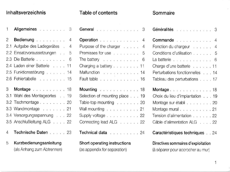# lnhaltsverzeichnis

| 1 Allgemeines<br>3                             |  |
|------------------------------------------------|--|
| 2 Bedienung<br>$\overline{4}$                  |  |
| $\overline{4}$<br>2.1 Aufgabe des Ladegerätes. |  |
| 2.2 Einsatzvoraussetzungen 5                   |  |
| 2.3 Die Batterie<br>6                          |  |
| 2.4 Laden einer Batterie 11                    |  |
| 2.5 Funktionsstörung 14                        |  |
| 2.6 Fehlertabelle 15                           |  |
|                                                |  |
| 3 Montage 18                                   |  |
| 3.1 Wahl des Montageortes 19                   |  |
| 3.2 Tischmontage 20                            |  |
| 3.3 Wandmontage 21                             |  |
| 3.4 Versorgungsspannung 22                     |  |
| 3.5 Anschlußleitung ALG 22                     |  |

- 4 Technische Daten . . . . 23
- 5 Kurzbedienungsanleitung (als Anhang zum Abtrennen)

# Table of contents

| 3              | 3<br>General                                 |
|----------------|----------------------------------------------|
| $\overline{4}$ | $\overline{4}$<br>Operation                  |
| $\overline{4}$ | Purpose of the charger 4                     |
| 5              | Premisses for use 5                          |
| 6              | The battery $\ldots \ldots \ldots \ldots 6$  |
| 11             | Charging a battery $\ldots \ldots \ldots$ 11 |
| 14             | Malfunction 14                               |
| 15             | Fault table 16                               |
| 18             | Mounting 18                                  |
| 19             | Selection of mounting place 19               |
| 20             | Table-top mounting $\ldots \ldots \ldots$ 20 |
| 21             | Wall mounting 21                             |
| 22             | Supply voltage 22                            |

Connecting lead ALG . . . . . . 22 Technical data . . . . . . . . 24

Short operating instructions (as appendix for separation)

### Sommaire

| 3              | Généralités 3                          |
|----------------|----------------------------------------|
| $\overline{4}$ | Commande 4                             |
| $\overline{4}$ | Fonction du chargeur<br>$\overline{4}$ |
| 5              | Conditions d'utilisation<br>5          |
| 6              | La batterie<br>6                       |
| 11             | Charge d'une batterie 11               |
| 14             | Perturbations fonctionnelles 14        |
| 16             | Tableau des perturbations 17           |
|                |                                        |
| 18             | <b>Montage</b> 18                      |
| 19             | Choix du lieu d'implantation 19        |
| 20             | Montage sur établi 20                  |
| 21             | Montage mural 21                       |
| 22             | Tension d'alimentation 22              |
| 22             | Câble d'alimentation ALG 22            |
| 24             | Caractéristiques techniques 24         |

(à séparer pour accrocher au mur)

1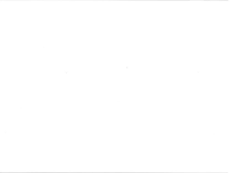